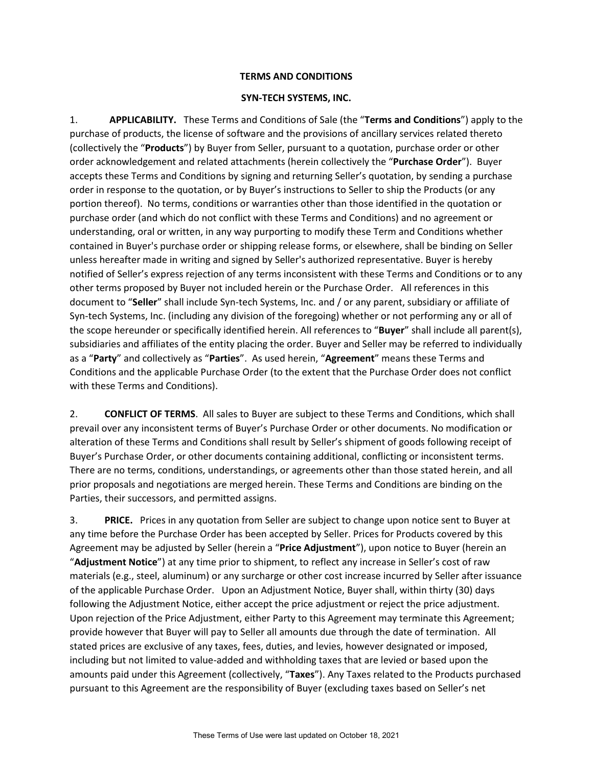## **TERMS AND CONDITIONS**

### **SYN-TECH SYSTEMS, INC.**

1. **APPLICABILITY.** These Terms and Conditions of Sale (the "**Terms and Conditions**") apply to the purchase of products, the license of software and the provisions of ancillary services related thereto (collectively the "**Products**") by Buyer from Seller, pursuant to a quotation, purchase order or other order acknowledgement and related attachments (herein collectively the "**Purchase Order**"). Buyer accepts these Terms and Conditions by signing and returning Seller's quotation, by sending a purchase order in response to the quotation, or by Buyer's instructions to Seller to ship the Products (or any portion thereof). No terms, conditions or warranties other than those identified in the quotation or purchase order (and which do not conflict with these Terms and Conditions) and no agreement or understanding, oral or written, in any way purporting to modify these Term and Conditions whether contained in Buyer's purchase order or shipping release forms, or elsewhere, shall be binding on Seller unless hereafter made in writing and signed by Seller's authorized representative. Buyer is hereby notified of Seller's express rejection of any terms inconsistent with these Terms and Conditions or to any other terms proposed by Buyer not included herein or the Purchase Order. All references in this document to "**Seller**" shall include Syn-tech Systems, Inc. and / or any parent, subsidiary or affiliate of Syn-tech Systems, Inc. (including any division of the foregoing) whether or not performing any or all of the scope hereunder or specifically identified herein. All references to "**Buyer**" shall include all parent(s), subsidiaries and affiliates of the entity placing the order. Buyer and Seller may be referred to individually as a "**Party**" and collectively as "**Parties**". As used herein, "**Agreement**" means these Terms and Conditions and the applicable Purchase Order (to the extent that the Purchase Order does not conflict with these Terms and Conditions).

2. **CONFLICT OF TERMS**. All sales to Buyer are subject to these Terms and Conditions, which shall prevail over any inconsistent terms of Buyer's Purchase Order or other documents. No modification or alteration of these Terms and Conditions shall result by Seller's shipment of goods following receipt of Buyer's Purchase Order, or other documents containing additional, conflicting or inconsistent terms. There are no terms, conditions, understandings, or agreements other than those stated herein, and all prior proposals and negotiations are merged herein. These Terms and Conditions are binding on the Parties, their successors, and permitted assigns.

3. **PRICE.** Prices in any quotation from Seller are subject to change upon notice sent to Buyer at any time before the Purchase Order has been accepted by Seller. Prices for Products covered by this Agreement may be adjusted by Seller (herein a "**Price Adjustment**"), upon notice to Buyer (herein an "**Adjustment Notice**") at any time prior to shipment, to reflect any increase in Seller's cost of raw materials (e.g., steel, aluminum) or any surcharge or other cost increase incurred by Seller after issuance of the applicable Purchase Order. Upon an Adjustment Notice, Buyer shall, within thirty (30) days following the Adjustment Notice, either accept the price adjustment or reject the price adjustment. Upon rejection of the Price Adjustment, either Party to this Agreement may terminate this Agreement; provide however that Buyer will pay to Seller all amounts due through the date of termination. All stated prices are exclusive of any taxes, fees, duties, and levies, however designated or imposed, including but not limited to value-added and withholding taxes that are levied or based upon the amounts paid under this Agreement (collectively, "**Taxes**"). Any Taxes related to the Products purchased pursuant to this Agreement are the responsibility of Buyer (excluding taxes based on Seller's net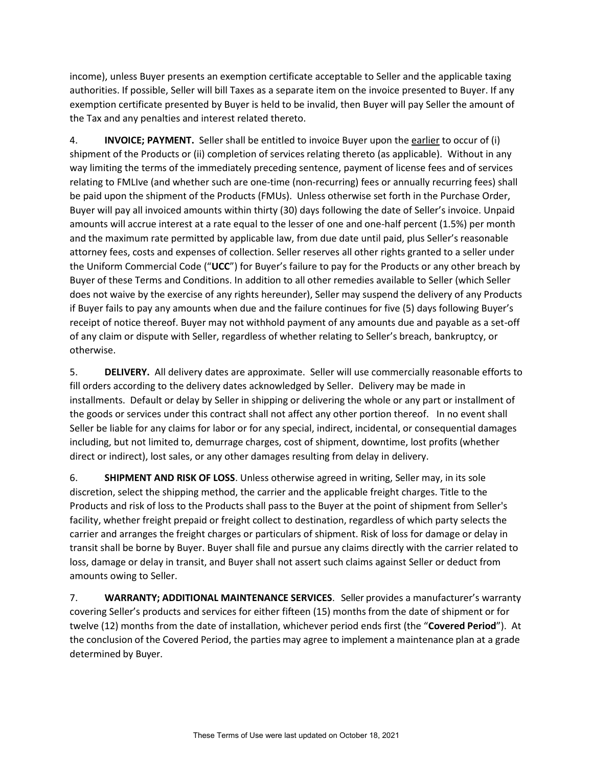income), unless Buyer presents an exemption certificate acceptable to Seller and the applicable taxing authorities. If possible, Seller will bill Taxes as a separate item on the invoice presented to Buyer. If any exemption certificate presented by Buyer is held to be invalid, then Buyer will pay Seller the amount of the Tax and any penalties and interest related thereto.

4. **INVOICE; PAYMENT.** Seller shall be entitled to invoice Buyer upon the earlier to occur of (i) shipment of the Products or (ii) completion of services relating thereto (as applicable). Without in any way limiting the terms of the immediately preceding sentence, payment of license fees and of services relating to FMLIve (and whether such are one-time (non-recurring) fees or annually recurring fees) shall be paid upon the shipment of the Products (FMUs). Unless otherwise set forth in the Purchase Order, Buyer will pay all invoiced amounts within thirty (30) days following the date of Seller's invoice. Unpaid amounts will accrue interest at a rate equal to the lesser of one and one-half percent (1.5%) per month and the maximum rate permitted by applicable law, from due date until paid, plus Seller's reasonable attorney fees, costs and expenses of collection. Seller reserves all other rights granted to a seller under the Uniform Commercial Code ("**UCC**") for Buyer's failure to pay for the Products or any other breach by Buyer of these Terms and Conditions. In addition to all other remedies available to Seller (which Seller does not waive by the exercise of any rights hereunder), Seller may suspend the delivery of any Products if Buyer fails to pay any amounts when due and the failure continues for five (5) days following Buyer's receipt of notice thereof. Buyer may not withhold payment of any amounts due and payable as a set-off of any claim or dispute with Seller, regardless of whether relating to Seller's breach, bankruptcy, or otherwise.

5. **DELIVERY.** All delivery dates are approximate. Seller will use commercially reasonable efforts to fill orders according to the delivery dates acknowledged by Seller. Delivery may be made in installments. Default or delay by Seller in shipping or delivering the whole or any part or installment of the goods or services under this contract shall not affect any other portion thereof. In no event shall Seller be liable for any claims for labor or for any special, indirect, incidental, or consequential damages including, but not limited to, demurrage charges, cost of shipment, downtime, lost profits (whether direct or indirect), lost sales, or any other damages resulting from delay in delivery.

6. **SHIPMENT AND RISK OF LOSS**. Unless otherwise agreed in writing, Seller may, in its sole discretion, select the shipping method, the carrier and the applicable freight charges. Title to the Products and risk of loss to the Products shall pass to the Buyer at the point of shipment from Seller's facility, whether freight prepaid or freight collect to destination, regardless of which party selects the carrier and arranges the freight charges or particulars of shipment. Risk of loss for damage or delay in transit shall be borne by Buyer. Buyer shall file and pursue any claims directly with the carrier related to loss, damage or delay in transit, and Buyer shall not assert such claims against Seller or deduct from amounts owing to Seller.

7. **WARRANTY; ADDITIONAL MAINTENANCE SERVICES**. Seller provides a manufacturer's warranty covering Seller's products and services for either fifteen (15) months from the date of shipment or for twelve (12) months from the date of installation, whichever period ends first (the "**Covered Period**"). At the conclusion of the Covered Period, the parties may agree to implement a maintenance plan at a grade determined by Buyer.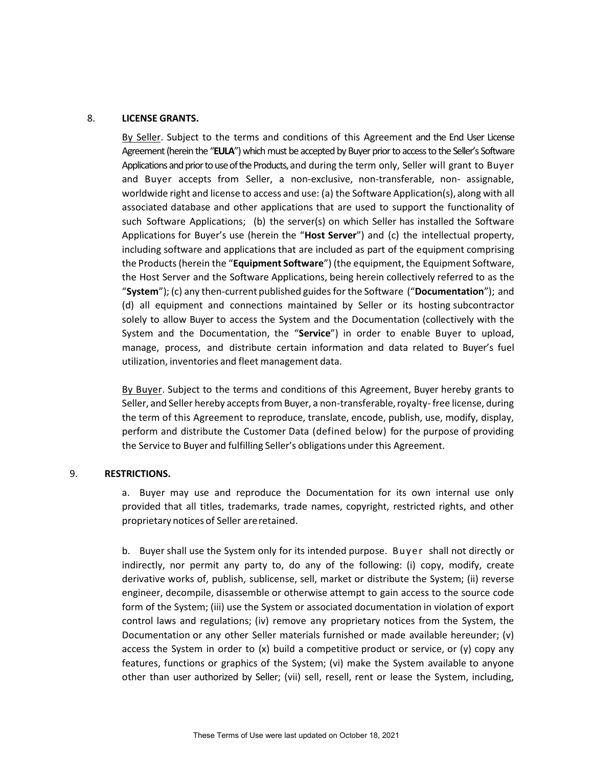#### 8. **LICENSE GRANTS.**

By Seller. Subject to the terms and conditions of this Agreement and the End User License Agreement (herein the "**EULA**") which must be accepted by Buyer prior to access to the Seller's Software Applications and prior to use of the Products, and during the term only, Seller will grant to Buyer and Buyer accepts from Seller, a non-exclusive, non-transferable, non- assignable, worldwide right and license to access and use: (a) the Software Application(s), along with all associated database and other applications that are used to support the functionality of such Software Applications; (b) the server(s) on which Seller has installed the Software Applications for Buyer's use (herein the "**Host Server**") and (c) the intellectual property, including software and applications that are included as part of the equipment comprising the Products (herein the "**Equipment Software**") (the equipment, the Equipment Software, the Host Server and the Software Applications, being herein collectively referred to as the "**System**"); (c) any then-current published guides for the Software ("**Documentation**"); and (d) all equipment and connections maintained by Seller or its hosting subcontractor solely to allow Buyer to access the System and the Documentation (collectively with the System and the Documentation, the "**Service**") in order to enable Buyer to upload, manage, process, and distribute certain information and data related to Buyer's fuel utilization, inventories and fleet management data.

By Buyer. Subject to the terms and conditions of this Agreement, Buyer hereby grants to Seller, and Seller hereby accepts from Buyer, a non-transferable, royalty-free license, during the term of this Agreement to reproduce, translate, encode, publish, use, modify, display, perform and distribute the Customer Data (defined below) for the purpose of providing the Service to Buyer and fulfilling Seller's obligations under this Agreement.

#### 9. **RESTRICTIONS.**

a. Buyer may use and reproduce the Documentation for its own internal use only provided that all titles, trademarks, trade names, copyright, restricted rights, and other proprietary notices of Seller areretained.

b. Buyer shall use the System only for its intended purpose. Buyer shall not directly or indirectly, nor permit any party to, do any of the following: (i) copy, modify, create derivative works of, publish, sublicense, sell, market or distribute the System; (ii) reverse engineer, decompile, disassemble or otherwise attempt to gain access to the source code form of the System; (iii) use the System or associated documentation in violation of export control laws and regulations; (iv) remove any proprietary notices from the System, the Documentation or any other Seller materials furnished or made available hereunder; (v) access the System in order to  $(x)$  build a competitive product or service, or  $(y)$  copy any features, functions or graphics of the System; (vi) make the System available to anyone other than user authorized by Seller; (vii) sell, resell, rent or lease the System, including,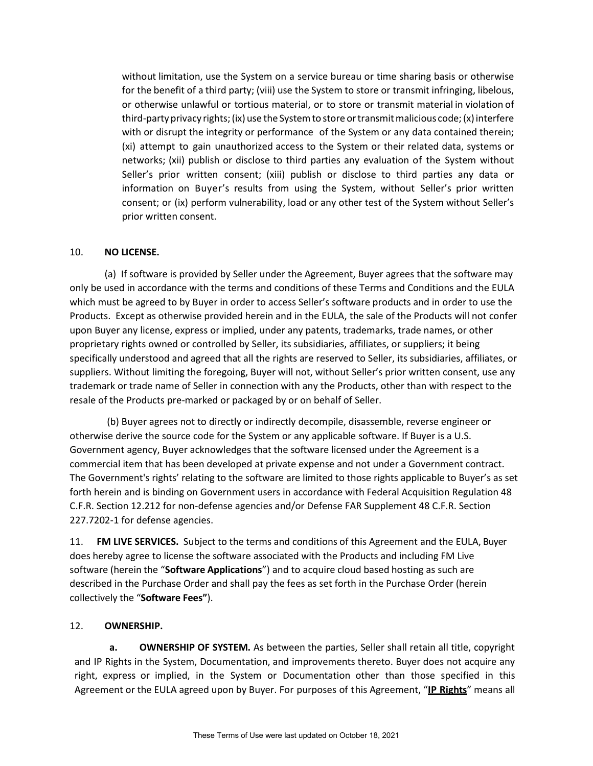without limitation, use the System on a service bureau or time sharing basis or otherwise for the benefit of a third party; (viii) use the System to store or transmit infringing, libelous, or otherwise unlawful or tortious material, or to store or transmit material in violation of third-party privacy rights; (ix) use the System to store or transmit malicious code; (x) interfere with or disrupt the integrity or performance of the System or any data contained therein; (xi) attempt to gain unauthorized access to the System or their related data, systems or networks; (xii) publish or disclose to third parties any evaluation of the System without Seller's prior written consent; (xiii) publish or disclose to third parties any data or information on Buyer's results from using the System, without Seller's prior written consent; or (ix) perform vulnerability, load or any other test of the System without Seller's prior written consent.

### 10. **NO LICENSE.**

(a) If software is provided by Seller under the Agreement, Buyer agrees that the software may only be used in accordance with the terms and conditions of these Terms and Conditions and the EULA which must be agreed to by Buyer in order to access Seller's software products and in order to use the Products. Except as otherwise provided herein and in the EULA, the sale of the Products will not confer upon Buyer any license, express or implied, under any patents, trademarks, trade names, or other proprietary rights owned or controlled by Seller, its subsidiaries, affiliates, or suppliers; it being specifically understood and agreed that all the rights are reserved to Seller, its subsidiaries, affiliates, or suppliers. Without limiting the foregoing, Buyer will not, without Seller's prior written consent, use any trademark or trade name of Seller in connection with any the Products, other than with respect to the resale of the Products pre-marked or packaged by or on behalf of Seller.

(b) Buyer agrees not to directly or indirectly decompile, disassemble, reverse engineer or otherwise derive the source code for the System or any applicable software. If Buyer is a U.S. Government agency, Buyer acknowledges that the software licensed under the Agreement is a commercial item that has been developed at private expense and not under a Government contract. The Government's rights' relating to the software are limited to those rights applicable to Buyer's as set forth herein and is binding on Government users in accordance with Federal Acquisition Regulation 48 C.F.R. Section 12.212 for non-defense agencies and/or Defense FAR Supplement 48 C.F.R. Section 227.7202-1 for defense agencies.

11. **FM LIVE SERVICES.** Subject to the terms and conditions of this Agreement and the EULA, Buyer does hereby agree to license the software associated with the Products and including FM Live software (herein the "**Software Applications**") and to acquire cloud based hosting as such are described in the Purchase Order and shall pay the fees as set forth in the Purchase Order (herein collectively the "**Software Fees"**).

### 12. **OWNERSHIP.**

**a. OWNERSHIP OF SYSTEM.** As between the parties, Seller shall retain all title, copyright and IP Rights in the System, Documentation, and improvements thereto. Buyer does not acquire any right, express or implied, in the System or Documentation other than those specified in this Agreement or the EULA agreed upon by Buyer. For purposes of this Agreement, "**IP Rights**" means all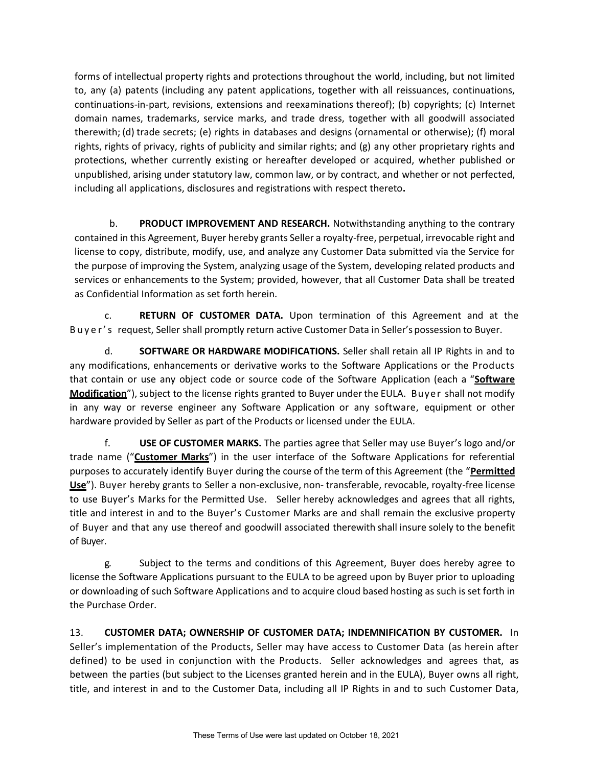forms of intellectual property rights and protections throughout the world, including, but not limited to, any (a) patents (including any patent applications, together with all reissuances, continuations, continuations-in-part, revisions, extensions and reexaminations thereof); (b) copyrights; (c) Internet domain names, trademarks, service marks, and trade dress, together with all goodwill associated therewith; (d) trade secrets; (e) rights in databases and designs (ornamental or otherwise); (f) moral rights, rights of privacy, rights of publicity and similar rights; and (g) any other proprietary rights and protections, whether currently existing or hereafter developed or acquired, whether published or unpublished, arising under statutory law, common law, or by contract, and whether or not perfected, including all applications, disclosures and registrations with respect thereto**.**

b. **PRODUCT IMPROVEMENT AND RESEARCH.** Notwithstanding anything to the contrary contained in this Agreement, Buyer hereby grants Seller a royalty-free, perpetual, irrevocable right and license to copy, distribute, modify, use, and analyze any Customer Data submitted via the Service for the purpose of improving the System, analyzing usage of the System, developing related products and services or enhancements to the System; provided, however, that all Customer Data shall be treated as Confidential Information as set forth herein.

c. **RETURN OF CUSTOMER DATA.** Upon termination of this Agreement and at the B u y e r ' s request, Seller shall promptly return active Customer Data in Seller's possession to Buyer.

d. **SOFTWARE OR HARDWARE MODIFICATIONS.** Seller shall retain all IP Rights in and to any modifications, enhancements or derivative works to the Software Applications or the Products that contain or use any object code or source code of the Software Application (each a "**Software Modification**"), subject to the license rights granted to Buyer under the EULA. Buyer shall not modify in any way or reverse engineer any Software Application or any software, equipment or other hardware provided by Seller as part of the Products or licensed under the EULA.

f. **USE OF CUSTOMER MARKS.** The parties agree that Seller may use Buyer's logo and/or trade name ("**Customer Marks**") in the user interface of the Software Applications for referential purposes to accurately identify Buyer during the course of the term of this Agreement (the "**Permitted Use**"). Buyer hereby grants to Seller a non-exclusive, non- transferable, revocable, royalty-free license to use Buyer's Marks for the Permitted Use. Seller hereby acknowledges and agrees that all rights, title and interest in and to the Buyer's Customer Marks are and shall remain the exclusive property of Buyer and that any use thereof and goodwill associated therewith shall insure solely to the benefit of Buyer.

g. Subject to the terms and conditions of this Agreement, Buyer does hereby agree to license the Software Applications pursuant to the EULA to be agreed upon by Buyer prior to uploading or downloading of such Software Applications and to acquire cloud based hosting as such is set forth in the Purchase Order.

13. **CUSTOMER DATA; OWNERSHIP OF CUSTOMER DATA; INDEMNIFICATION BY CUSTOMER.** In Seller's implementation of the Products, Seller may have access to Customer Data (as herein after defined) to be used in conjunction with the Products. Seller acknowledges and agrees that, as between the parties (but subject to the Licenses granted herein and in the EULA), Buyer owns all right, title, and interest in and to the Customer Data, including all IP Rights in and to such Customer Data,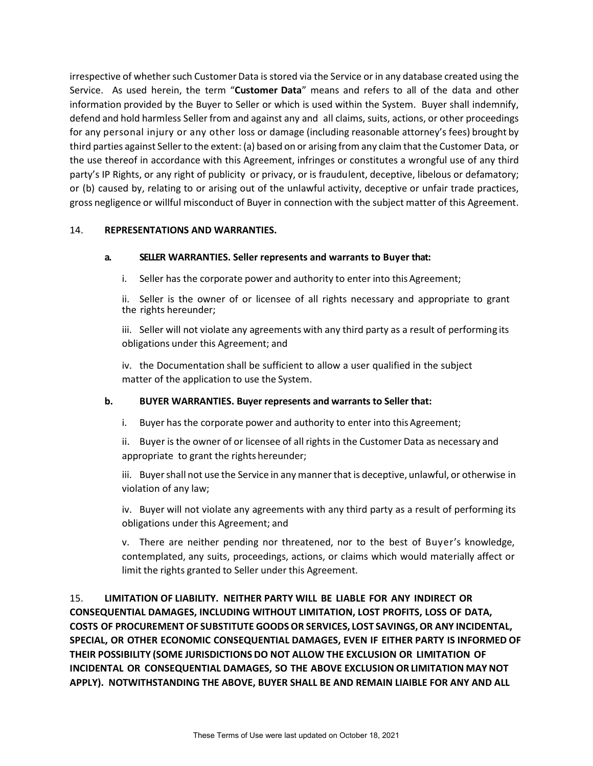irrespective of whether such Customer Data is stored via the Service or in any database created using the Service. As used herein, the term "**Customer Data**" means and refers to all of the data and other information provided by the Buyer to Seller or which is used within the System. Buyer shall indemnify, defend and hold harmless Seller from and against any and all claims, suits, actions, or other proceedings for any personal injury or any other loss or damage (including reasonable attorney's fees) brought by third parties against Sellerto the extent: (a) based on or arising from any claim thatthe Customer Data, or the use thereof in accordance with this Agreement, infringes or constitutes a wrongful use of any third party's IP Rights, or any right of publicity or privacy, or is fraudulent, deceptive, libelous or defamatory; or (b) caused by, relating to or arising out of the unlawful activity, deceptive or unfair trade practices, gross negligence or willful misconduct of Buyer in connection with the subject matter of this Agreement.

#### 14. **REPRESENTATIONS AND WARRANTIES.**

#### **a. SELLER WARRANTIES. Seller represents and warrants to Buyer that:**

i. Seller has the corporate power and authority to enter into this Agreement;

ii. Seller is the owner of or licensee of all rights necessary and appropriate to grant the rights hereunder;

iii. Seller will not violate any agreements with any third party as a result of performing its obligations under this Agreement; and

iv. the Documentation shall be sufficient to allow a user qualified in the subject matter of the application to use the System.

### **b. BUYER WARRANTIES. Buyer represents and warrants to Seller that:**

i. Buyer has the corporate power and authority to enter into this Agreement;

ii. Buyer is the owner of or licensee of all rights in the Customer Data as necessary and appropriate to grant the rights hereunder;

iii. Buyershall not use the Service in any mannerthat is deceptive, unlawful, or otherwise in violation of any law;

iv. Buyer will not violate any agreements with any third party as a result of performing its obligations under this Agreement; and

v. There are neither pending nor threatened, nor to the best of Buyer's knowledge, contemplated, any suits, proceedings, actions, or claims which would materially affect or limit the rights granted to Seller under this Agreement.

15. **LIMITATION OF LIABILITY. NEITHER PARTY WILL BE LIABLE FOR ANY INDIRECT OR CONSEQUENTIAL DAMAGES, INCLUDING WITHOUT LIMITATION, LOST PROFITS, LOSS OF DATA, COSTS OF PROCUREMENT OF SUBSTITUTE GOODSOR SERVICES, LOST SAVINGS,OR ANY INCIDENTAL, SPECIAL, OR OTHER ECONOMIC CONSEQUENTIAL DAMAGES, EVEN IF EITHER PARTY IS INFORMED OF THEIR POSSIBILITY (SOME JURISDICTIONS DO NOT ALLOW THE EXCLUSION OR LIMITATION OF INCIDENTAL OR CONSEQUENTIAL DAMAGES, SO THE ABOVE EXCLUSION OR LIMITATION MAYNOT APPLY). NOTWITHSTANDING THE ABOVE, BUYER SHALL BE AND REMAIN LIAIBLE FOR ANY AND ALL**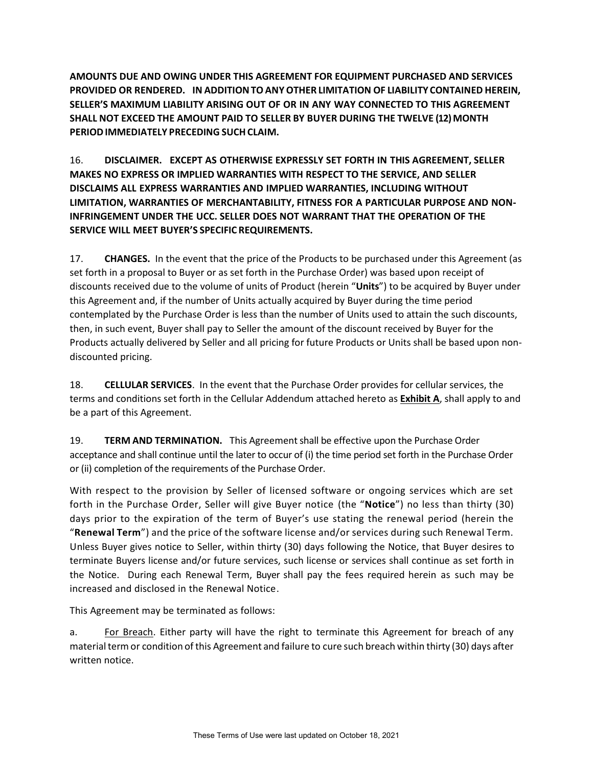**AMOUNTS DUE AND OWING UNDER THIS AGREEMENT FOR EQUIPMENT PURCHASED AND SERVICES PROVIDED OR RENDERED. IN ADDITIONTOANYOTHER LIMITATION OF LIABILITY CONTAINED HEREIN, SELLER'S MAXIMUM LIABILITY ARISING OUT OF OR IN ANY WAY CONNECTED TO THIS AGREEMENT SHALL NOT EXCEED THE AMOUNT PAID TO SELLER BY BUYER DURING THE TWELVE (12) MONTH PERIOD IMMEDIATELY PRECEDING SUCH CLAIM.** 

16. **DISCLAIMER. EXCEPT AS OTHERWISE EXPRESSLY SET FORTH IN THIS AGREEMENT, SELLER MAKES NO EXPRESS OR IMPLIED WARRANTIES WITH RESPECT TO THE SERVICE, AND SELLER DISCLAIMS ALL EXPRESS WARRANTIES AND IMPLIED WARRANTIES, INCLUDING WITHOUT LIMITATION, WARRANTIES OF MERCHANTABILITY, FITNESS FOR A PARTICULAR PURPOSE AND NON-INFRINGEMENT UNDER THE UCC. SELLER DOES NOT WARRANT THAT THE OPERATION OF THE SERVICE WILL MEET BUYER'S SPECIFIC REQUIREMENTS.**

17. **CHANGES.** In the event that the price of the Products to be purchased under this Agreement (as set forth in a proposal to Buyer or as set forth in the Purchase Order) was based upon receipt of discounts received due to the volume of units of Product (herein "**Units**") to be acquired by Buyer under this Agreement and, if the number of Units actually acquired by Buyer during the time period contemplated by the Purchase Order is less than the number of Units used to attain the such discounts, then, in such event, Buyer shall pay to Seller the amount of the discount received by Buyer for the Products actually delivered by Seller and all pricing for future Products or Units shall be based upon nondiscounted pricing.

18. **CELLULAR SERVICES**. In the event that the Purchase Order provides for cellular services, the terms and conditions set forth in the Cellular Addendum attached hereto as **Exhibit A**, shall apply to and be a part of this Agreement.

19. **TERM AND TERMINATION.** This Agreementshall be effective upon the Purchase Order acceptance and shall continue until the later to occur of (i) the time period set forth in the Purchase Order or (ii) completion of the requirements of the Purchase Order.

With respect to the provision by Seller of licensed software or ongoing services which are set forth in the Purchase Order, Seller will give Buyer notice (the "**Notice**") no less than thirty (30) days prior to the expiration of the term of Buyer's use stating the renewal period (herein the "**Renewal Term**") and the price of the software license and/or services during such Renewal Term. Unless Buyer gives notice to Seller, within thirty (30) days following the Notice, that Buyer desires to terminate Buyers license and/or future services, such license or services shall continue as set forth in the Notice. During each Renewal Term, Buyer shall pay the fees required herein as such may be increased and disclosed in the Renewal Notice.

This Agreement may be terminated as follows:

a. For Breach. Either party will have the right to terminate this Agreement for breach of any material term or condition of this Agreement and failure to cure such breach within thirty (30) days after written notice.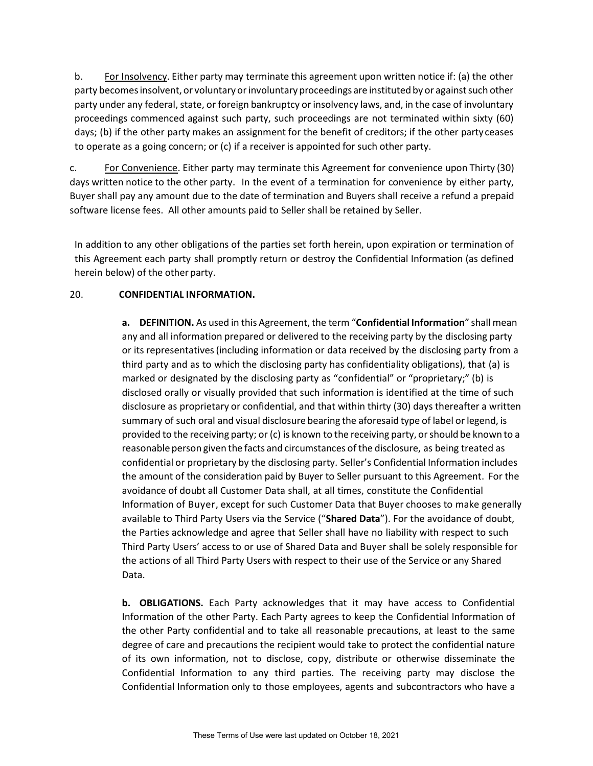b. For Insolvency. Either party may terminate this agreement upon written notice if: (a) the other party becomes insolvent, or voluntary or involuntary proceedings are instituted by or against such other party under any federal, state, or foreign bankruptcy or insolvency laws, and, in the case of involuntary proceedings commenced against such party, such proceedings are not terminated within sixty (60) days; (b) if the other party makes an assignment for the benefit of creditors; if the other party ceases to operate as a going concern; or (c) if a receiver is appointed for such other party.

c. For Convenience. Either party may terminate this Agreement for convenience upon Thirty (30) days written notice to the other party. In the event of a termination for convenience by either party, Buyer shall pay any amount due to the date of termination and Buyers shall receive a refund a prepaid software license fees. All other amounts paid to Seller shall be retained by Seller.

In addition to any other obligations of the parties set forth herein, upon expiration or termination of this Agreement each party shall promptly return or destroy the Confidential Information (as defined herein below) of the other party.

### 20. **CONFIDENTIAL INFORMATION.**

**a. DEFINITION.** As used in this Agreement, the term "**Confidential Information**" shall mean any and all information prepared or delivered to the receiving party by the disclosing party or its representatives(including information or data received by the disclosing party from a third party and as to which the disclosing party has confidentiality obligations), that (a) is marked or designated by the disclosing party as "confidential" or "proprietary;" (b) is disclosed orally or visually provided that such information is identified at the time of such disclosure as proprietary or confidential, and that within thirty (30) days thereafter a written summary of such oral and visual disclosure bearing the aforesaid type of label or legend, is provided to the receiving party; or (c) is known to the receiving party, orshould be known to a reasonable person given the facts and circumstances of the disclosure, as being treated as confidential or proprietary by the disclosing party. Seller's Confidential Information includes the amount of the consideration paid by Buyer to Seller pursuant to this Agreement. For the avoidance of doubt all Customer Data shall, at all times, constitute the Confidential Information of Buyer, except for such Customer Data that Buyer chooses to make generally available to Third Party Users via the Service ("**Shared Data**"). For the avoidance of doubt, the Parties acknowledge and agree that Seller shall have no liability with respect to such Third Party Users' access to or use of Shared Data and Buyer shall be solely responsible for the actions of all Third Party Users with respect to their use of the Service or any Shared Data.

**b. OBLIGATIONS.** Each Party acknowledges that it may have access to Confidential Information of the other Party. Each Party agrees to keep the Confidential Information of the other Party confidential and to take all reasonable precautions, at least to the same degree of care and precautions the recipient would take to protect the confidential nature of its own information, not to disclose, copy, distribute or otherwise disseminate the Confidential Information to any third parties. The receiving party may disclose the Confidential Information only to those employees, agents and subcontractors who have a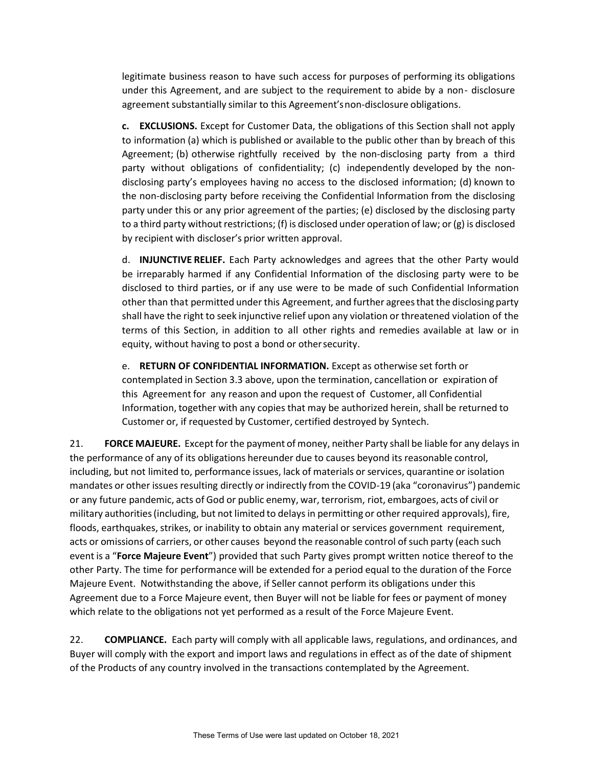legitimate business reason to have such access for purposes of performing its obligations under this Agreement, and are subject to the requirement to abide by a non- disclosure agreement substantially similar to this Agreement'snon-disclosure obligations.

**c. EXCLUSIONS.** Except for Customer Data, the obligations of this Section shall not apply to information (a) which is published or available to the public other than by breach of this Agreement; (b) otherwise rightfully received by the non-disclosing party from a third party without obligations of confidentiality; (c) independently developed by the nondisclosing party's employees having no access to the disclosed information; (d) known to the non-disclosing party before receiving the Confidential Information from the disclosing party under this or any prior agreement of the parties; (e) disclosed by the disclosing party to a third party without restrictions; (f) is disclosed under operation of law; or  $(g)$  is disclosed by recipient with discloser's prior written approval.

d. **INJUNCTIVE RELIEF.** Each Party acknowledges and agrees that the other Party would be irreparably harmed if any Confidential Information of the disclosing party were to be disclosed to third parties, or if any use were to be made of such Confidential Information other than that permitted under this Agreement, and further agrees that the disclosing party shall have the right to seek injunctive relief upon any violation or threatened violation of the terms of this Section, in addition to all other rights and remedies available at law or in equity, without having to post a bond or othersecurity.

e. **RETURN OF CONFIDENTIAL INFORMATION.** Except as otherwise set forth or contemplated in Section 3.3 above, upon the termination, cancellation or expiration of this Agreement for any reason and upon the request of Customer, all Confidential Information, together with any copies that may be authorized herein, shall be returned to Customer or, if requested by Customer, certified destroyed by Syntech.

21. **FORCE MAJEURE.** Except for the payment of money, neither Party shall be liable for any delays in the performance of any of its obligations hereunder due to causes beyond its reasonable control, including, but not limited to, performance issues, lack of materials or services, quarantine or isolation mandates or other issues resulting directly or indirectly from the COVID-19 (aka "coronavirus") pandemic or any future pandemic, acts of God or public enemy, war, terrorism, riot, embargoes, acts of civil or military authorities(including, but not limited to delaysin permitting or other required approvals), fire, floods, earthquakes, strikes, or inability to obtain any material or services government requirement, acts or omissions of carriers, or other causes beyond the reasonable control of such party (each such event is a "**Force Majeure Event**") provided that such Party gives prompt written notice thereof to the other Party. The time for performance will be extended for a period equal to the duration of the Force Majeure Event. Notwithstanding the above, if Seller cannot perform its obligations under this Agreement due to a Force Majeure event, then Buyer will not be liable for fees or payment of money which relate to the obligations not yet performed as a result of the Force Majeure Event.

22. **COMPLIANCE.** Each party will comply with all applicable laws, regulations, and ordinances, and Buyer will comply with the export and import laws and regulations in effect as of the date of shipment of the Products of any country involved in the transactions contemplated by the Agreement.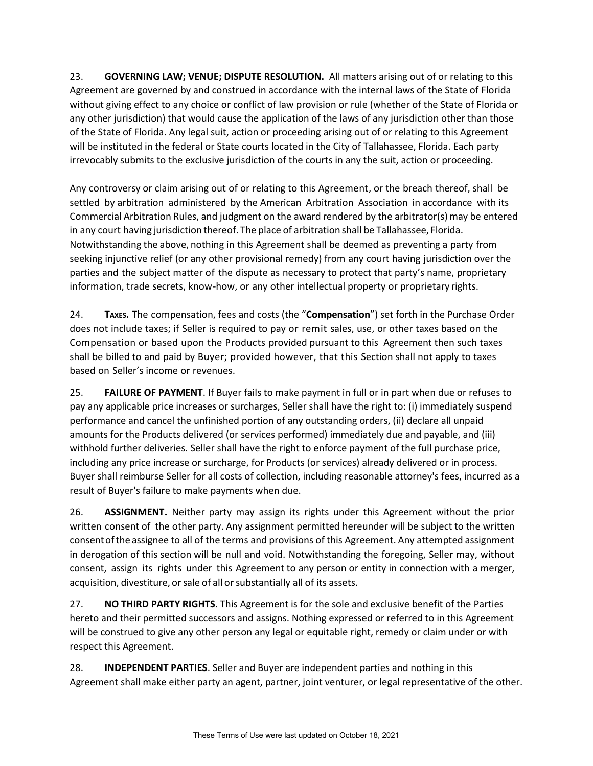23. **GOVERNING LAW; VENUE; DISPUTE RESOLUTION.** All matters arising out of or relating to this Agreement are governed by and construed in accordance with the internal laws of the State of Florida without giving effect to any choice or conflict of law provision or rule (whether of the State of Florida or any other jurisdiction) that would cause the application of the laws of any jurisdiction other than those of the State of Florida. Any legal suit, action or proceeding arising out of or relating to this Agreement will be instituted in the federal or State courts located in the City of Tallahassee, Florida. Each party irrevocably submits to the exclusive jurisdiction of the courts in any the suit, action or proceeding.

Any controversy or claim arising out of or relating to this Agreement, or the breach thereof, shall be settled by arbitration administered by the American Arbitration Association in accordance with its Commercial Arbitration Rules, and judgment on the award rendered by the arbitrator(s) may be entered in any court having jurisdiction thereof. The place of arbitration shall be Tallahassee, Florida. Notwithstanding the above, nothing in this Agreement shall be deemed as preventing a party from seeking injunctive relief (or any other provisional remedy) from any court having jurisdiction over the parties and the subject matter of the dispute as necessary to protect that party's name, proprietary information, trade secrets, know-how, or any other intellectual property or proprietary rights.

24. **TAXES.** The compensation, fees and costs (the "**Compensation**") set forth in the Purchase Order does not include taxes; if Seller is required to pay or remit sales, use, or other taxes based on the Compensation or based upon the Products provided pursuant to this Agreement then such taxes shall be billed to and paid by Buyer; provided however, that this Section shall not apply to taxes based on Seller's income or revenues.

25. **FAILURE OF PAYMENT**. If Buyer fails to make payment in full or in part when due or refuses to pay any applicable price increases or surcharges, Seller shall have the right to: (i) immediately suspend performance and cancel the unfinished portion of any outstanding orders, (ii) declare all unpaid amounts for the Products delivered (or services performed) immediately due and payable, and (iii) withhold further deliveries. Seller shall have the right to enforce payment of the full purchase price, including any price increase or surcharge, for Products (or services) already delivered or in process. Buyer shall reimburse Seller for all costs of collection, including reasonable attorney's fees, incurred as a result of Buyer's failure to make payments when due.

26. **ASSIGNMENT.** Neither party may assign its rights under this Agreement without the prior written consent of the other party. Any assignment permitted hereunder will be subject to the written consentofthe assignee to all of the terms and provisions of this Agreement. Any attempted assignment in derogation of this section will be null and void. Notwithstanding the foregoing, Seller may, without consent, assign its rights under this Agreement to any person or entity in connection with a merger, acquisition, divestiture, or sale of all or substantially all of its assets.

27. **NO THIRD PARTY RIGHTS**. This Agreement is for the sole and exclusive benefit of the Parties hereto and their permitted successors and assigns. Nothing expressed or referred to in this Agreement will be construed to give any other person any legal or equitable right, remedy or claim under or with respect this Agreement.

28. **INDEPENDENT PARTIES**. Seller and Buyer are independent parties and nothing in this Agreement shall make either party an agent, partner, joint venturer, or legal representative of the other.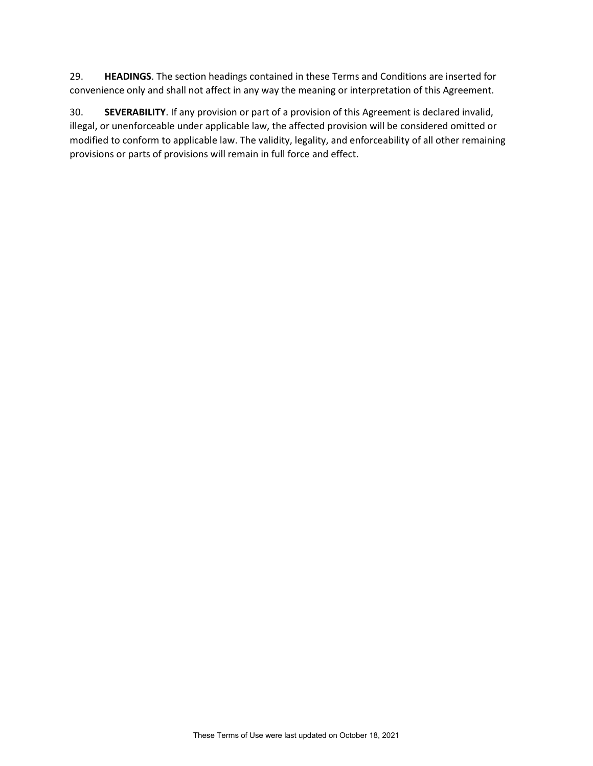29. **HEADINGS**. The section headings contained in these Terms and Conditions are inserted for convenience only and shall not affect in any way the meaning or interpretation of this Agreement.

30. **SEVERABILITY**. If any provision or part of a provision of this Agreement is declared invalid, illegal, or unenforceable under applicable law, the affected provision will be considered omitted or modified to conform to applicable law. The validity, legality, and enforceability of all other remaining provisions or parts of provisions will remain in full force and effect.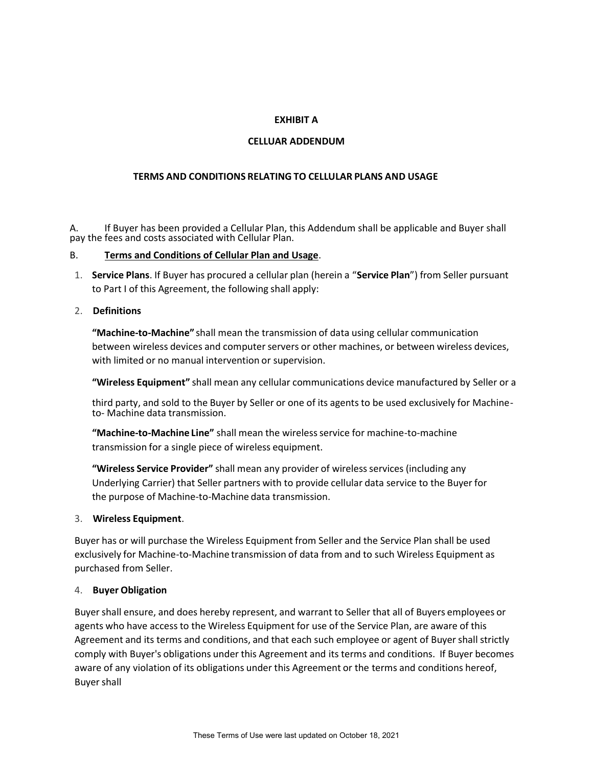## **EXHIBIT A**

### **CELLUAR ADDENDUM**

### **TERMS AND CONDITIONS RELATING TO CELLULAR PLANS AND USAGE**

A. If Buyer has been provided a Cellular Plan, this Addendum shall be applicable and Buyer shall pay the fees and costs associated with Cellular Plan.

#### B. **Terms and Conditions of Cellular Plan and Usage**.

1. **Service Plans**. If Buyer has procured a cellular plan (herein a "**Service Plan**") from Seller pursuant to Part I of this Agreement, the following shall apply:

#### 2. **Definitions**

**"Machine-to-Machine"** shall mean the transmission of data using cellular communication between wireless devices and computer servers or other machines, or between wireless devices, with limited or no manual intervention or supervision.

**"Wireless Equipment"** shall mean any cellular communications device manufactured by Seller or a

third party, and sold to the Buyer by Seller or one of its agents to be used exclusively for Machineto- Machine data transmission.

**"Machine-to-Machine Line"** shall mean the wirelessservice for machine-to-machine transmission for a single piece of wireless equipment.

**"Wireless Service Provider"** shall mean any provider of wireless services (including any Underlying Carrier) that Seller partners with to provide cellular data service to the Buyer for the purpose of Machine-to-Machine data transmission.

#### 3. **Wireless Equipment**.

Buyer has or will purchase the Wireless Equipment from Seller and the Service Plan shall be used exclusively for Machine-to-Machine transmission of data from and to such Wireless Equipment as purchased from Seller.

#### 4. **Buyer Obligation**

Buyer shall ensure, and does hereby represent, and warrant to Seller that all of Buyers employees or agents who have access to the Wireless Equipment for use of the Service Plan, are aware of this Agreement and its terms and conditions, and that each such employee or agent of Buyershall strictly comply with Buyer's obligations under this Agreement and its terms and conditions. If Buyer becomes aware of any violation of its obligations under this Agreement or the terms and conditions hereof, **Buyer shall**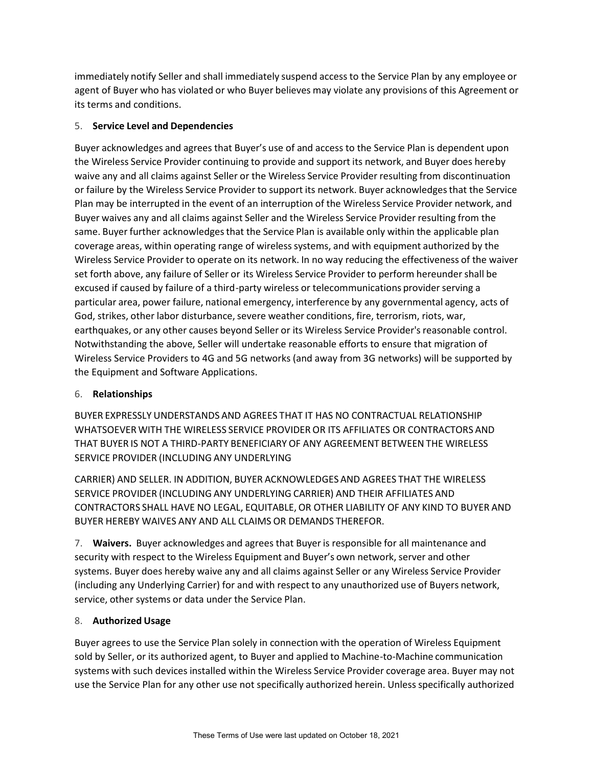immediately notify Seller and shall immediately suspend access to the Service Plan by any employee or agent of Buyer who has violated or who Buyer believes may violate any provisions of this Agreement or its terms and conditions.

# 5. **Service Level and Dependencies**

Buyer acknowledges and agrees that Buyer's use of and access to the Service Plan is dependent upon the Wireless Service Provider continuing to provide and support its network, and Buyer does hereby waive any and all claims against Seller or the Wireless Service Provider resulting from discontinuation or failure by the Wireless Service Provider to support its network. Buyer acknowledgesthat the Service Plan may be interrupted in the event of an interruption of the Wireless Service Provider network, and Buyer waives any and all claims against Seller and the Wireless Service Provider resulting from the same. Buyer further acknowledgesthat the Service Plan is available only within the applicable plan coverage areas, within operating range of wirelesssystems, and with equipment authorized by the Wireless Service Provider to operate on its network. In no way reducing the effectiveness of the waiver set forth above, any failure of Seller or its Wireless Service Provider to perform hereundershall be excused if caused by failure of a third-party wireless or telecommunications provider serving a particular area, power failure, national emergency, interference by any governmental agency, acts of God, strikes, other labor disturbance, severe weather conditions, fire, terrorism, riots, war, earthquakes, or any other causes beyond Seller or its Wireless Service Provider's reasonable control. Notwithstanding the above, Seller will undertake reasonable efforts to ensure that migration of Wireless Service Providers to 4G and 5G networks (and away from 3G networks) will be supported by the Equipment and Software Applications.

# 6. **Relationships**

BUYER EXPRESSLY UNDERSTANDS AND AGREES THAT IT HAS NO CONTRACTUAL RELATIONSHIP WHATSOEVERWITH THE WIRELESS SERVICE PROVIDEROR ITS AFFILIATES OR CONTRACTORS AND THAT BUYER IS NOT A THIRD-PARTY BENEFICIARYOF ANY AGREEMENT BETWEENTHE WIRELESS SERVICE PROVIDER (INCLUDING ANY UNDERLYING

CARRIER) AND SELLER. IN ADDITION, BUYER ACKNOWLEDGES AND AGREES THAT THE WIRELESS SERVICE PROVIDER (INCLUDING ANY UNDERLYING CARRIER) AND THEIR AFFILIATES AND CONTRACTORS SHALL HAVE NO LEGAL, EQUITABLE, OR OTHER LIABILITY OF ANY KIND TO BUYER AND BUYER HEREBY WAIVES ANY AND ALL CLAIMS OR DEMANDS THEREFOR.

7. **Waivers.** Buyer acknowledges and agrees that Buyer is responsible for all maintenance and security with respect to the Wireless Equipment and Buyer's own network, server and other systems. Buyer does hereby waive any and all claims against Seller or any Wireless Service Provider (including any Underlying Carrier) for and with respect to any unauthorized use of Buyers network, service, other systems or data under the Service Plan.

# 8. **Authorized Usage**

Buyer agrees to use the Service Plan solely in connection with the operation of Wireless Equipment sold by Seller, or its authorized agent, to Buyer and applied to Machine-to-Machine communication systems with such devices installed within the Wireless Service Provider coverage area. Buyer may not use the Service Plan for any other use not specifically authorized herein. Unless specifically authorized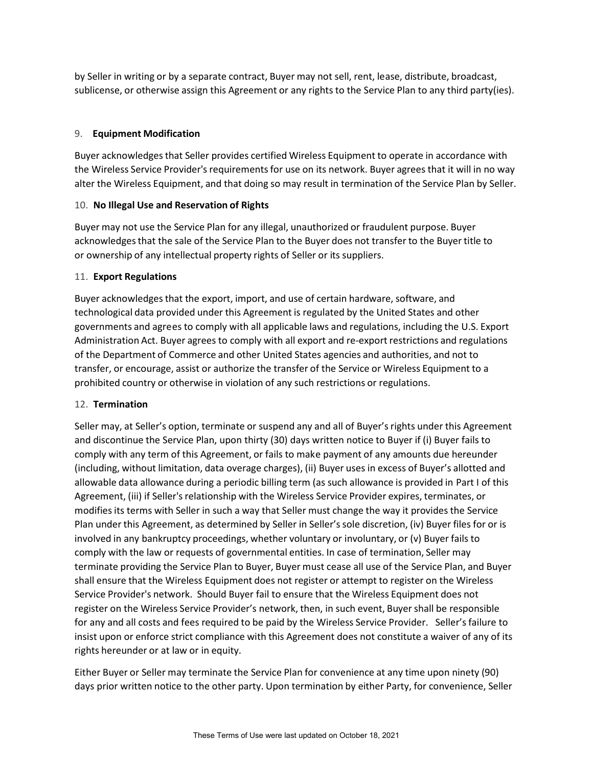by Seller in writing or by a separate contract, Buyer may not sell, rent, lease, distribute, broadcast, sublicense, or otherwise assign this Agreement or any rights to the Service Plan to any third party(ies).

## 9. **Equipment Modification**

Buyer acknowledgesthat Seller provides certified Wireless Equipment to operate in accordance with the Wireless Service Provider's requirementsfor use on its network. Buyer agrees that it will in no way alter the Wireless Equipment, and that doing so may result in termination of the Service Plan by Seller.

### 10. **No Illegal Use and Reservation of Rights**

Buyer may not use the Service Plan for any illegal, unauthorized or fraudulent purpose. Buyer acknowledges that the sale of the Service Plan to the Buyer does not transfer to the Buyer title to or ownership of any intellectual property rights of Seller or its suppliers.

### 11. **Export Regulations**

Buyer acknowledgesthat the export, import, and use of certain hardware, software, and technological data provided under this Agreement is regulated by the United States and other governments and agrees to comply with all applicable laws and regulations, including the U.S. Export Administration Act. Buyer agrees to comply with all export and re-export restrictions and regulations of the Department of Commerce and other United States agencies and authorities, and not to transfer, or encourage, assist or authorize the transfer of the Service or Wireless Equipment to a prohibited country or otherwise in violation of any such restrictions or regulations.

### 12. **Termination**

Seller may, at Seller's option, terminate or suspend any and all of Buyer's rights under this Agreement and discontinue the Service Plan, upon thirty (30) days written notice to Buyer if (i) Buyer fails to comply with any term of this Agreement, or fails to make payment of any amounts due hereunder (including, without limitation, data overage charges), (ii) Buyer uses in excess of Buyer's allotted and allowable data allowance during a periodic billing term (as such allowance is provided in Part I of this Agreement, (iii) if Seller'srelationship with the Wireless Service Provider expires, terminates, or modifies its terms with Seller in such a way that Seller must change the way it provides the Service Plan under this Agreement, as determined by Seller in Seller'ssole discretion, (iv) Buyer files for or is involved in any bankruptcy proceedings, whether voluntary or involuntary, or (v) Buyer fails to comply with the law or requests of governmental entities. In case of termination, Seller may terminate providing the Service Plan to Buyer, Buyer must cease all use of the Service Plan, and Buyer shall ensure that the Wireless Equipment does not register or attempt to register on the Wireless Service Provider's network. Should Buyer fail to ensure that the Wireless Equipment does not register on the Wireless Service Provider's network, then, in such event, Buyer shall be responsible for any and all costs and fees required to be paid by the Wireless Service Provider. Seller's failure to insist upon or enforce strict compliance with this Agreement does not constitute a waiver of any of its rights hereunder or at law or in equity.

Either Buyer or Seller may terminate the Service Plan for convenience at any time upon ninety (90) days prior written notice to the other party. Upon termination by either Party, for convenience, Seller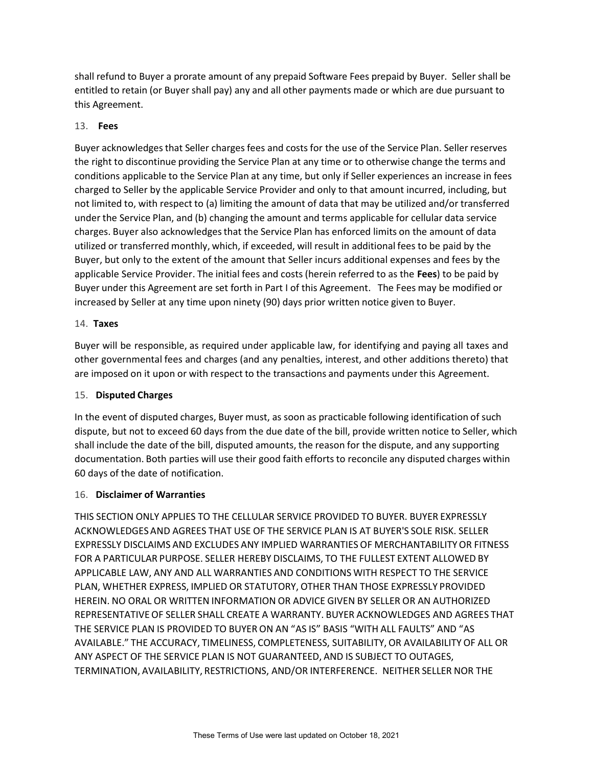shall refund to Buyer a prorate amount of any prepaid Software Fees prepaid by Buyer. Seller shall be entitled to retain (or Buyer shall pay) any and all other payments made or which are due pursuant to this Agreement.

## 13. **Fees**

Buyer acknowledgesthat Seller charges fees and costs for the use of the Service Plan. Seller reserves the right to discontinue providing the Service Plan at any time or to otherwise change the terms and conditions applicable to the Service Plan at any time, but only if Seller experiences an increase in fees charged to Seller by the applicable Service Provider and only to that amount incurred, including, but not limited to, with respect to (a) limiting the amount of data that may be utilized and/or transferred under the Service Plan, and (b) changing the amount and terms applicable for cellular data service charges. Buyer also acknowledgesthat the Service Plan has enforced limits on the amount of data utilized or transferred monthly, which, if exceeded, will result in additional fees to be paid by the Buyer, but only to the extent of the amount that Seller incurs additional expenses and fees by the applicable Service Provider. The initial fees and costs (herein referred to as the **Fees**) to be paid by Buyer under this Agreement are set forth in Part I of this Agreement. The Fees may be modified or increased by Seller at any time upon ninety (90) days prior written notice given to Buyer.

### 14. **Taxes**

Buyer will be responsible, as required under applicable law, for identifying and paying all taxes and other governmental fees and charges (and any penalties, interest, and other additions thereto) that are imposed on it upon or with respect to the transactions and payments under this Agreement.

### 15. **Disputed Charges**

In the event of disputed charges, Buyer must, as soon as practicable following identification of such dispute, but not to exceed 60 days from the due date of the bill, provide written notice to Seller, which shall include the date of the bill, disputed amounts, the reason for the dispute, and any supporting documentation. Both parties will use their good faith efforts to reconcile any disputed charges within 60 days of the date of notification.

### 16. **Disclaimer of Warranties**

THIS SECTION ONLY APPLIES TO THE CELLULAR SERVICE PROVIDED TO BUYER. BUYER EXPRESSLY ACKNOWLEDGESAND AGREES THAT USE OF THE SERVICE PLAN IS AT BUYER'S SOLE RISK. SELLER EXPRESSLY DISCLAIMS AND EXCLUDES ANY IMPLIED WARRANTIES OF MERCHANTABILITYOR FITNESS FOR A PARTICULAR PURPOSE. SELLER HEREBY DISCLAIMS, TO THE FULLEST EXTENT ALLOWED BY APPLICABLE LAW, ANY AND ALL WARRANTIES AND CONDITIONS WITH RESPECT TO THE SERVICE PLAN, WHETHER EXPRESS, IMPLIED OR STATUTORY, OTHER THAN THOSE EXPRESSLY PROVIDED HEREIN. NO ORAL OR WRITTEN INFORMATION OR ADVICE GIVEN BY SELLER OR AN AUTHORIZED REPRESENTATIVEOF SELLER SHALL CREATE A WARRANTY. BUYER ACKNOWLEDGES AND AGREES THAT THE SERVICE PLAN IS PROVIDED TO BUYERON AN "AS IS" BASIS "WITH ALL FAULTS" AND "AS AVAILABLE." THE ACCURACY, TIMELINESS, COMPLETENESS, SUITABILITY,OR AVAILABILITYOF ALL OR ANY ASPECT OF THE SERVICE PLAN IS NOT GUARANTEED, AND IS SUBJECT TO OUTAGES, TERMINATION, AVAILABILITY, RESTRICTIONS, AND/OR INTERFERENCE. NEITHER SELLER NOR THE